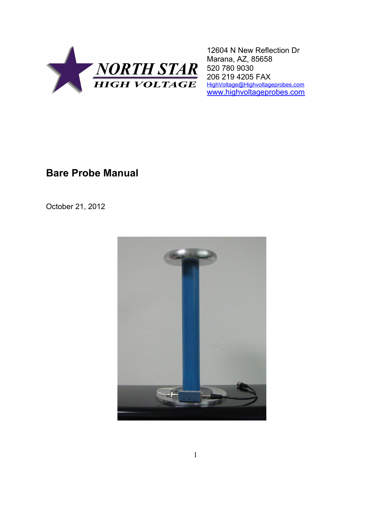

12604 N New Reflection Dr Marana, AZ, 85658 520 780 9030 206 219 4205 FAX [HighVoltage@Highvoltageprobes.com](file:///C:/Docs/HighVoltage@Highvoltageprobes.com) [www.highvoltageprobes.com](file:///C:/Docs/www.highvoltageprobes.com)

# **Bare Probe Manual**

October 21, 2012

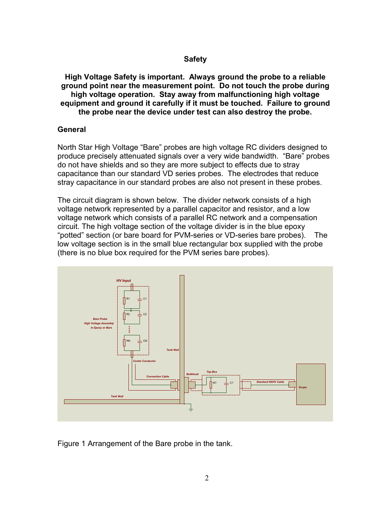## **Safety**

**High Voltage Safety is important. Always ground the probe to a reliable ground point near the measurement point. Do not touch the probe during high voltage operation. Stay away from malfunctioning high voltage equipment and ground it carefully if it must be touched. Failure to ground the probe near the device under test can also destroy the probe.**

## **General**

North Star High Voltage "Bare" probes are high voltage RC dividers designed to produce precisely attenuated signals over a very wide bandwidth. "Bare" probes do not have shields and so they are more subject to effects due to stray capacitance than our standard VD series probes. The electrodes that reduce stray capacitance in our standard probes are also not present in these probes.

The circuit diagram is shown below. The divider network consists of a high voltage network represented by a parallel capacitor and resistor, and a low voltage network which consists of a parallel RC network and a compensation circuit. The high voltage section of the voltage divider is in the blue epoxy "potted" section (or bare board for PVM-series or VD-series bare probes). The low voltage section is in the small blue rectangular box supplied with the probe (there is no blue box required for the PVM series bare probes).



Figure 1 Arrangement of the Bare probe in the tank.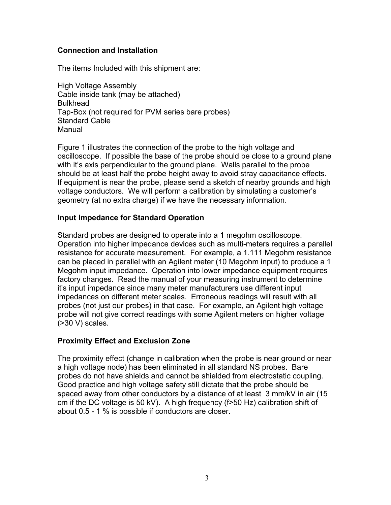# **Connection and Installation**

The items Included with this shipment are:

High Voltage Assembly Cable inside tank (may be attached) **Bulkhead** Tap-Box (not required for PVM series bare probes) Standard Cable Manual

Figure 1 illustrates the connection of the probe to the high voltage and oscilloscope. If possible the base of the probe should be close to a ground plane with it's axis perpendicular to the ground plane. Walls parallel to the probe should be at least half the probe height away to avoid stray capacitance effects. If equipment is near the probe, please send a sketch of nearby grounds and high voltage conductors. We will perform a calibration by simulating a customer's geometry (at no extra charge) if we have the necessary information.

# **Input Impedance for Standard Operation**

Standard probes are designed to operate into a 1 megohm oscilloscope. Operation into higher impedance devices such as multi-meters requires a parallel resistance for accurate measurement. For example, a 1.111 Megohm resistance can be placed in parallel with an Agilent meter (10 Megohm input) to produce a 1 Megohm input impedance. Operation into lower impedance equipment requires factory changes. Read the manual of your measuring instrument to determine it's input impedance since many meter manufacturers use different input impedances on different meter scales. Erroneous readings will result with all probes (not just our probes) in that case. For example, an Agilent high voltage probe will not give correct readings with some Agilent meters on higher voltage (>30 V) scales.

#### **Proximity Effect and Exclusion Zone**

The proximity effect (change in calibration when the probe is near ground or near a high voltage node) has been eliminated in all standard NS probes. Bare probes do not have shields and cannot be shielded from electrostatic coupling. Good practice and high voltage safety still dictate that the probe should be spaced away from other conductors by a distance of at least 3 mm/kV in air (15 cm if the DC voltage is 50 kV). A high frequency (f>50 Hz) calibration shift of about 0.5 - 1 % is possible if conductors are closer.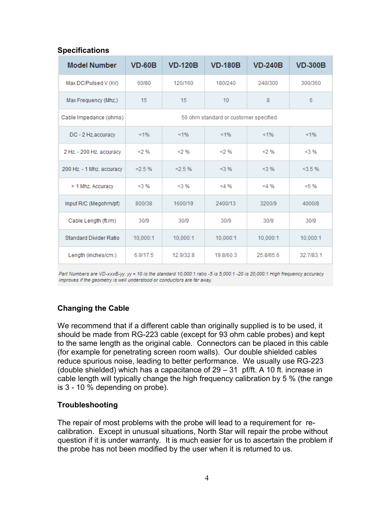# **Specifications**

| <b>Model Number</b>       | $VD-60B$                              | <b>VD-120B</b> | <b>VD-180B</b> | <b>VD-240B</b> | <b>VD-300B</b> |
|---------------------------|---------------------------------------|----------------|----------------|----------------|----------------|
| Max DC/Pulsed V (kV)      | 60/80                                 | 120/160        | 180/240        | 240/300        | 300/360        |
| Max Frequency (Mhz.)      | 15                                    | 15             | 10             | 8              | 6              |
| Cable Impedance (ohms)    | 50 ohm standard or customer specified |                |                |                |                |
| DC - 2 Hz.accuracy        | < 1%                                  | < 1%           | 1%             | < 1%           | 1%             |
| 2 Hz. - 200 Hz. accuracy  | < 2%                                  | < 2%           | < 2%           | < 2%           | $<$ 3 %        |
| 200 Hz. - 1 Mhz. accuracy | $< 2.5 \%$                            | $< 2.5 \%$     | $<$ 3 %        | $<$ 3 %        | <3.5%          |
| > 1 Mhz. Accuracy         | $<$ 3 %                               | $<$ 3 %        | $<$ 4 %        | $< 4 \%$       | < 5%           |
| Input R/C (Megohm/pf)     | 800/38                                | 1600/19        | 2400/13        | 3200/9         | 4000/8         |
| Cable Length (ft./m)      | 30/9                                  | 30/9           | 30/9           | 30/9           | 30/9           |
| Standard Divider Ratio    | 10,000:1                              | 10,000:1       | 10,000:1       | 10,000:1       | 10,000:1       |
| Length (inches/cm.)       | 6.9/17.5                              | 12.9/32.8      | 19.8/60.3      | 25.8/65.6      | 32.7/83.1      |

Part Numbers are VD-xxxB-yy. yy = 10 is the standard 10,000:1 ratio -5 is 5,000:1 -20 is 20,000:1 High frequency accuracy improves if the geometry is well understood or conductors are far away.

# **Changing the Cable**

We recommend that if a different cable than originally supplied is to be used, it should be made from RG-223 cable (except for 93 ohm cable probes) and kept to the same length as the original cable. Connectors can be placed in this cable (for example for penetrating screen room walls). Our double shielded cables reduce spurious noise, leading to better performance. We usually use RG-223 (double shielded) which has a capacitance of 29 – 31 pf/ft. A 10 ft. increase in cable length will typically change the high frequency calibration by 5 % (the range is 3 - 10 % depending on probe).

#### **Troubleshooting**

The repair of most problems with the probe will lead to a requirement for recalibration. Except in unusual situations, North Star will repair the probe without question if it is under warranty. It is much easier for us to ascertain the problem if the probe has not been modified by the user when it is returned to us.